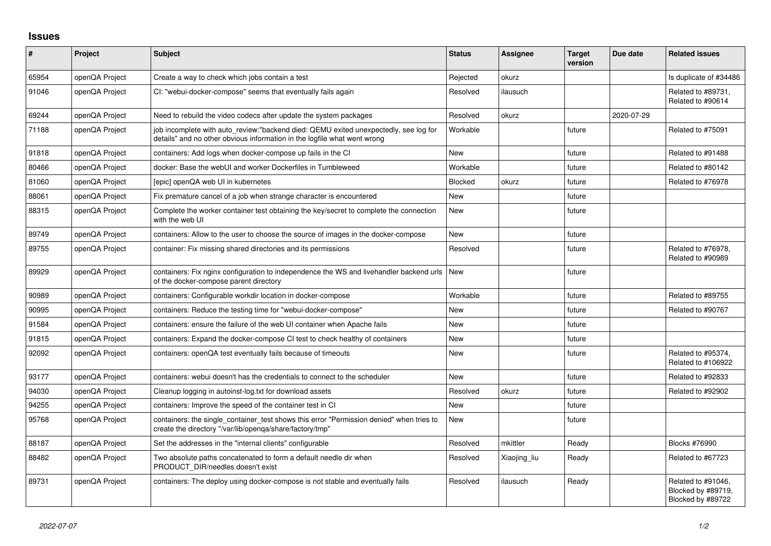## **Issues**

| $\vert$ # | Project        | Subject                                                                                                                                                          | <b>Status</b> | Assignee     | <b>Target</b><br>version | Due date   | <b>Related issues</b>                                         |
|-----------|----------------|------------------------------------------------------------------------------------------------------------------------------------------------------------------|---------------|--------------|--------------------------|------------|---------------------------------------------------------------|
| 65954     | openQA Project | Create a way to check which jobs contain a test                                                                                                                  | Rejected      | okurz        |                          |            | Is duplicate of #34486                                        |
| 91046     | openQA Project | CI: "webui-docker-compose" seems that eventually fails again                                                                                                     | Resolved      | ilausuch     |                          |            | Related to #89731,<br>Related to #90614                       |
| 69244     | openQA Project | Need to rebuild the video codecs after update the system packages                                                                                                | Resolved      | okurz        |                          | 2020-07-29 |                                                               |
| 71188     | openQA Project | job incomplete with auto_review:"backend died: QEMU exited unexpectedly, see log for<br>details" and no other obvious information in the logfile what went wrong | Workable      |              | future                   |            | Related to #75091                                             |
| 91818     | openQA Project | containers: Add logs when docker-compose up fails in the CI                                                                                                      | <b>New</b>    |              | future                   |            | Related to #91488                                             |
| 80466     | openQA Project | docker: Base the webUI and worker Dockerfiles in Tumbleweed                                                                                                      | Workable      |              | future                   |            | Related to #80142                                             |
| 81060     | openQA Project | [epic] openQA web UI in kubernetes                                                                                                                               | Blocked       | okurz        | future                   |            | Related to #76978                                             |
| 88061     | openQA Project | Fix premature cancel of a job when strange character is encountered                                                                                              | <b>New</b>    |              | future                   |            |                                                               |
| 88315     | openQA Project | Complete the worker container test obtaining the key/secret to complete the connection<br>with the web UI                                                        | New           |              | future                   |            |                                                               |
| 89749     | openQA Project | containers: Allow to the user to choose the source of images in the docker-compose                                                                               | <b>New</b>    |              | future                   |            |                                                               |
| 89755     | openQA Project | container: Fix missing shared directories and its permissions                                                                                                    | Resolved      |              | future                   |            | Related to #76978,<br>Related to #90989                       |
| 89929     | openQA Project | containers: Fix nginx configuration to independence the WS and livehandler backend urls<br>of the docker-compose parent directory                                | New           |              | future                   |            |                                                               |
| 90989     | openQA Project | containers: Configurable workdir location in docker-compose                                                                                                      | Workable      |              | future                   |            | Related to #89755                                             |
| 90995     | openQA Project | containers: Reduce the testing time for "webui-docker-compose"                                                                                                   | New           |              | future                   |            | Related to #90767                                             |
| 91584     | openQA Project | containers: ensure the failure of the web UI container when Apache fails                                                                                         | <b>New</b>    |              | future                   |            |                                                               |
| 91815     | openQA Project | containers: Expand the docker-compose CI test to check healthy of containers                                                                                     | <b>New</b>    |              | future                   |            |                                                               |
| 92092     | openQA Project | containers: openQA test eventually fails because of timeouts                                                                                                     | <b>New</b>    |              | future                   |            | Related to #95374,<br>Related to #106922                      |
| 93177     | openQA Project | containers: webui doesn't has the credentials to connect to the scheduler                                                                                        | <b>New</b>    |              | future                   |            | Related to #92833                                             |
| 94030     | openQA Project | Cleanup logging in autoinst-log.txt for download assets                                                                                                          | Resolved      | okurz        | future                   |            | Related to #92902                                             |
| 94255     | openQA Project | containers: Improve the speed of the container test in CI                                                                                                        | <b>New</b>    |              | future                   |            |                                                               |
| 95768     | openQA Project | containers: the single container test shows this error "Permission denied" when tries to<br>create the directory "/var/lib/openga/share/factory/tmp"             | New           |              | future                   |            |                                                               |
| 88187     | openQA Project | Set the addresses in the "internal clients" configurable                                                                                                         | Resolved      | mkittler     | Ready                    |            | Blocks #76990                                                 |
| 88482     | openQA Project | Two absolute paths concatenated to form a default needle dir when<br>PRODUCT DIR/needles doesn't exist                                                           | Resolved      | Xiaojing_liu | Ready                    |            | Related to #67723                                             |
| 89731     | openQA Project | containers: The deploy using docker-compose is not stable and eventually fails                                                                                   | Resolved      | ilausuch     | Ready                    |            | Related to #91046,<br>Blocked by #89719,<br>Blocked by #89722 |